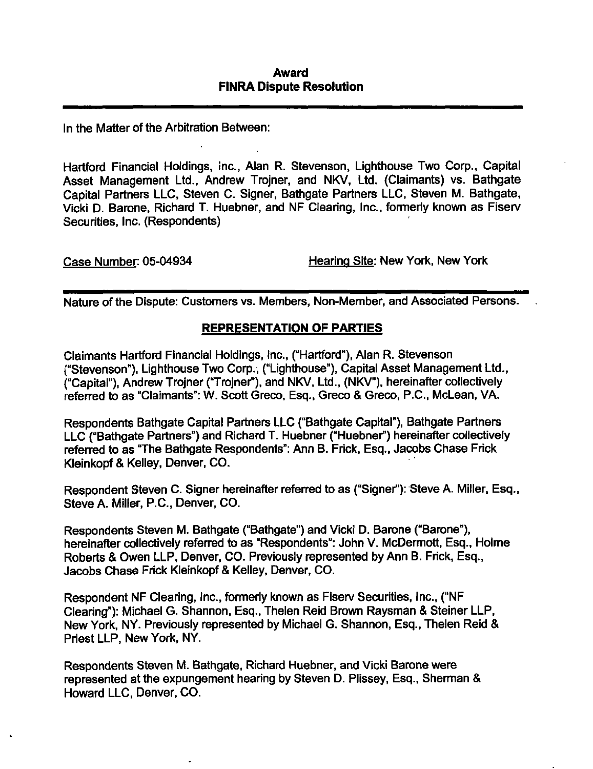#### Award FINRA Dispute Resolution

In the Matter of the Arbitration Between:

Hartford Financial Holdings, inc., Alan R. Stevenson, Lighthouse Two Corp., Capital Asset Management Ltd., Andrew Trojner, and NKV, Ltd. (Claimants) vs. Bathgate Capital Partners LLC, Steven C. Signer, Bathgate Partners LLC, Steven M. Bathgate, Vicki D. Barone, Richard T. Huebner, and NF Clearing, Inc., formerly known as Fiserv Securities, Inc. (Respondents)

Case Number: 05-04934 Hearing Site: New York, New York

Nature of the Dispute: Customers vs. Members, Non-Member, and Associated Persons.

## REPRESENTATION OF PARTIES

Claimants Hartford Financial Holdings, Inc., ("Hartford"), Alan R. Stevenson ("Stevenson"), Lighthouse Two Corp., ("Lighthouse"), Capital Asset Management Ltd., ("Capital"), Andrew Trojner ("Trojner"), and NKV, Ltd., (NKV"), hereinafter collectively referred to as "Claimants": W. Scott Greco, Esq., Greco & Greco, P.C, McLean, VA.

Respondents Bathgate Capital Partners LLC ("Bathgate Capital"), Bathgate Partners LLC ("Bathgate Partners") and Richard T. Huebner ("Huebner") hereinafter collectively referred to as "The Bathgate Respondents": Ann B. Frick, Esq., Jacobs Chase Frick Kleinkopf & Keiley, Denver, CO.

Respondent Steven C. Signer hereinafter referred to as ("Signer"): Steve A. Miller, Esq., Steve A. Miller, P.C, Denver, CO.

Respondents Steven M. Bathgate ("Bathgate") and Vicki D. Barone ("Barone"), hereinafter collectively referred to as "Respondents": John V. McDermott, Esq., Holme Roberts & Owen LLP, Denver, CO. Previously represented by Ann B. Frick, Esq., Jacobs Chase Frick Kleinkopf & Keiley, Denver, CO.

Respondent NF Clearing, Inc., formerly known as Fiserv Securities, Inc., ("NF Clearing"): Michael G. Shannon, Esq., Thelen Reid Brown Raysman & Steiner LLP, New York, NY. Previously represented by Michael G. Shannon, Esq., Thelen Reid & Priest LLP, New York, NY.

Respondents Steven M. Bathgate, Richard Huebner, and Vicki Barone were represented at the expungement hearing by Steven D. Plissey, Esq., Sherman & Howard LLC, Denver, CO.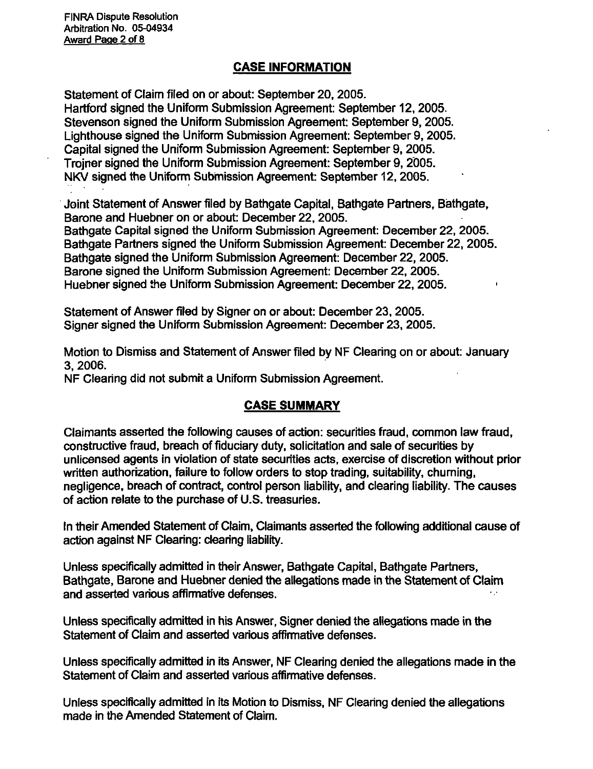#### CASE INFORMATION

Statement of Claim filed on or about: September 20, 2005. Hartford signed the Uniform Submission Agreement: September 12, 2005. Stevenson signed the Uniform Submission Agreement: September 9, 2005. Lighthouse signed the Uniform Submission Agreement: September 9, 2005. Capital signed the Uniform Submission Agreement: September 9, 2005. Trojner signed the Uniform Submission Agreement: September 9, 2005. NKV signed the Uniform Submission Agreement: September 12, 2005.

Joint Statement of Answer filed by Bathgate Capital, Bathgate Partners, Biathgate, Barone and Huebner on or about: December 22, 2005.

Bathgate Capital signed the Uniform Submission Agreement: December 22, 2005. Bathgate Partners signed the Uniform Submission Agreement: December 22, 2005. Bathgate signed the Uniform Submission Agreement: December 22, 2005. Barone signed the Uniform Submission Agreement: December 22, 2005. Huebner signed the Uniform Submission Agreement: December 22, 2005.

Statement of Answer filed by Signer on or about: December 23, 2005. Signer signed the Uniform Submission Agreement: December 23, 2005.

Motion to Dismiss and Statement of Answer filed by NF Clearing on or about: January 3, 2006.

NF Clearing did not submit a Uniform Submission Agreement.

## CASE SUMMARY

Claimants asserted the following causes of action: securities fraud, common law fraud, constructive fraud, breach of fiduciary duty, solicitation and sale of securities by unlicensed agents in violation of state securities acts, exercise of discretion without prior written authorization, failure to follow orders to stop trading, suitability, churning, negligence, breach of contract, control person liability, and clearing liability. The causes of action relate to the purchase of U.S. treasuries.

In their Amended Statement of Claim, Claimants asserted the following additional cause of action against NF Clearing: clearing liability.

Unless specifically admitted in their Answer, Bathgate Capital, Bathgate Partners, Bathgate, Barone and Huebner denied the allegations made in the Statement of Claim and asserted various affinnative defenses.

Unless specifically admitted in his Answer, Signer denied the allegations made in the Statement of Claim and asserted various affinnative defenses.

Unless specifically admitted in its Answer, NF Clearing denied the allegations made in the Statement of Claim and asserted various affinnative defenses.

Unless specifically admitted in its Motion to Dismiss, NF Clearing denied the allegations made in the Amended Statement of Claim.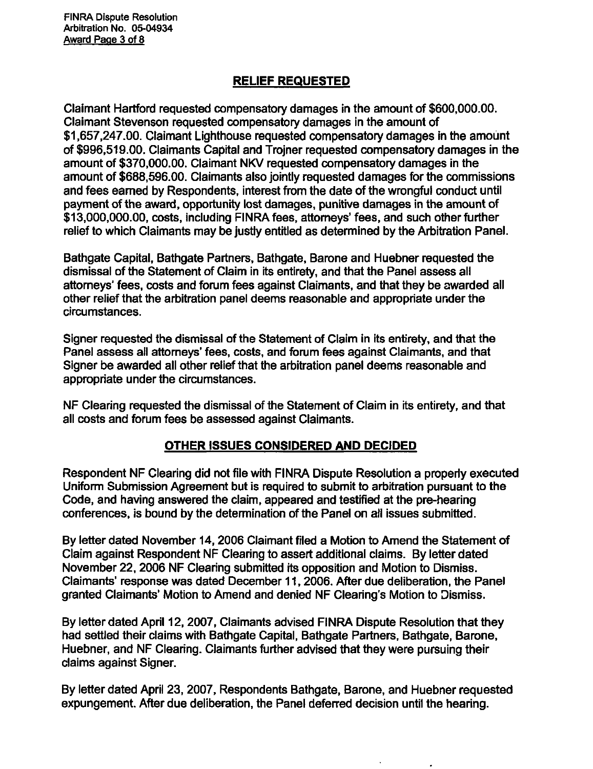FiNRA Dispute Resolution Arbitration No. 05-04934 Award Page 3 of 8

#### RELIEF REQUESTED

Claimant Hartford requested compensatory damages in the amount of \$600,000.00. Claimant Stevenson requested compensatory damages in the amount of \$1,657,247.00. Claimant Lighthouse requested compensatory damages in the amount of \$996,519.00. Claimants Capital and Trojner requested compensatory damages in the amount of \$370,000.00. Claimant NKV requested compensatory damages in the amount of \$688,596.00. Claimants also jointly requested damages for the commissions and fees earned by Respondents, interest from the date of the wrongful conduct until payment of the award, opportunity lost damages, punitive damages in the amount of \$13,000,000.00, costs, including FINRA fees, attorneys' fees, and such other further relief to which Claimants may be justly entitled as determined by the Arbitration Panel.

Bathgate Capital, Bathgate Partners, Bathgate, Barone and Huebner requested the dismissal of the Statement of Claim in its entirety, and that the Panel assess all attorneys' fees, costs and forum fees against Claimants, and that they be awarded all other relief that the arbitration panel deems reasonable and appropriate under the circumstances.

Signer requested the dismissal of the Statement of Claim in its entirety, and that the Panel assess all attorneys' fees, costs, and forum fees against Claimants, and that Signer be awarded all other relief that the arbitration panel deems reasonable and appropriate under the circumstances.

NF Clearing requested the dismissal of the Statement of Claim in its entirety, and that all costs and forum fees be assessed against Claimants.

#### OTHER ISSUES CONSIDERED AND DECIDED

Respondent NF Clearing did not file with FINRA Dispute Resolution a properly executed Uniform Submission Agreement but is required to submit to arbitration pursuant to the Code, and having answered the claim, appeared and testified at the pre-hearing conferences, is bound by the determination of the Panel on ali issues submitted.

By letter dated November 14, 2006 Claimant filed a Motion to Amend the Statement of Claim against Respondent NF Clearing to assert additional claims. By letter dated November 22, 2006 NF Clearing submitted its opposition and Motion to Dismiss. Claimants' response was dated December 11, 2006. After due deliberation, the Panel granted Claimants' Motion to Amend and denied NF Clearing's Motion to Dismiss.

By letter dated April 12, 2007, Claimants advised FINRA Dispute Resolution that they had settled their claims with Bathgate Capital, Bathgate Partners, Bathgate, Barone, Huebner, and NF Clearing. Claimants further advised that they were pursuing their claims against Signer.

By letter dated April 23, 2007, Respondents Bathgate, Barone, and Huebner requested expungement. After due deliberation, the Panel deferred decision until the hearing.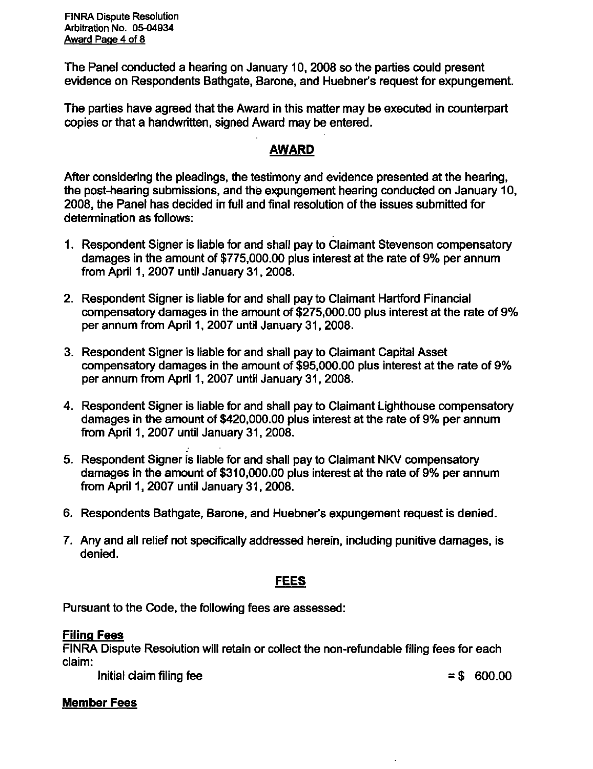The Panel conducted a hearing on January 10, 2008 so the parties could present evidence on Respondents Bathgate, Barone, and Huebner's request for expungement.

The parties have agreed that the Award in this matter may be executed in counterpart copies or that a handwritten, signed Award may be entered.

## AWARD

After considering the pleadings, the testimony and evidence presented at the hearing, the post-hearing submissions, and the expungement hearing conducted on January 10, 2008, the Panel has decided in full and final resolution of the issues submitted for determination as follows:

- 1. Respondent Signer is liable for and shall pay to Claimant Stevenson compensatory damages in the amount of \$775,000.00 plus interest at the rate of 9% per annum from April 1, 2007 unfil January 31, 2008.
- 2. Respondent Signer is liable for and shall pay to Claimant Harttord Financial compensatory damages in the amount of \$275,000.00 plus interest at the rate of 9% per annum from April 1, 2007 until January 31, 2008.
- 3. Respondent Signer is liable for and shall pay to Claimant Capital Asset compensatory damages in the amount of \$95,000.00 plus interest at the rate of 9% per annum from April 1, 2007 until January 31, 2008.
- 4. Respondent Signer is liable for and shall pay to Claimant Lighthouse compensatory damages in the amount of \$420,000.00 plus interest at the rate of 9% per annum from April 1, 2007 until January 31, 2008.
- 5. Respondent Signer is liable for and shall pay to Claimant NKV compensatory damages in the amount of \$310,000.00 plus interest at the rate of 9% per annum from April 1, 2007 unfil January 31, 2008.
- 6. Respondents Bathgate, Barone, and Huebner's expungement request is denied.
- 7. Any and all relief not specifically addressed herein, including punitive damages, is denied.

## FEES

Pursuant to the Code, the following fees are assessed:

## Filing Fees

FINRA Dispute Resolution will retain or collect the non-refundable filing fees for each claim:

Initial claim filing fee  $= $ 600.00$ 

# Member Fees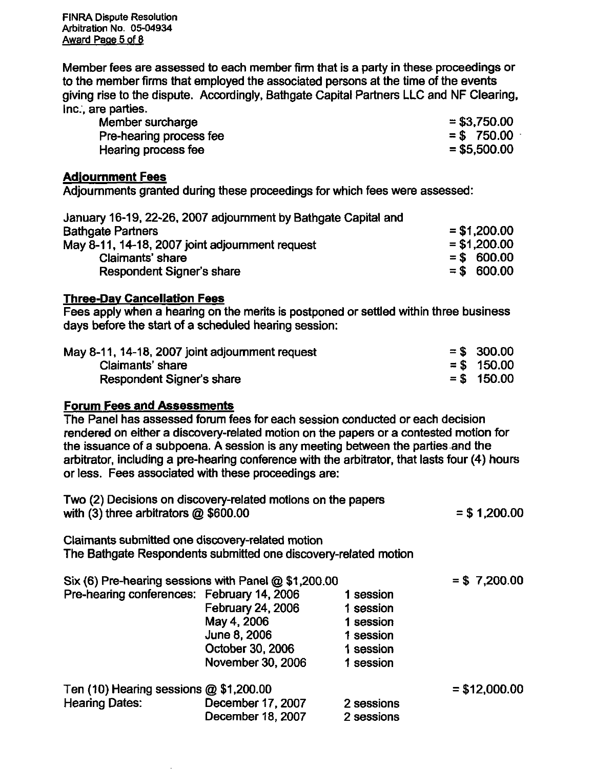FINRA Dispute Resolution Arbitration No. 05-04934 Award Page 5 of 8

Member fees are assessed to each member firm that is a party in these proceedings or to the member firms that employed the associated persons at the time of the events giving rise to the dispute. Accordingly, Bathgate Capital Partners LLC and NF Clearing, Inc., are parties.

| Member surcharge        | $= $3,750.00$  |
|-------------------------|----------------|
| Pre-hearing process fee | $= $750.00$    |
| Hearing process fee     | $=$ \$5,500.00 |

#### Adjournment Fees

Adjournments granted during these proceedings for which fees were assessed:

| January 16-19, 22-26, 2007 adjournment by Bathgate Capital and |                |
|----------------------------------------------------------------|----------------|
| <b>Bathgate Partners</b>                                       | $= $1,200.00$  |
| May 8-11, 14-18, 2007 joint adjournment request                | $=$ \$1,200.00 |
| Claimants' share                                               | $=$ \$ 600.00  |
| Respondent Signer's share                                      | $=$ \$ 600.00  |

#### Three-Dav Cancellation Fees

Fees apply when a hearing on the merits is postponed or settled within three business days before the start of a scheduled hearing session:

| May 8-11, 14-18, 2007 joint adjournment request | $=$ \$ 300.00 |
|-------------------------------------------------|---------------|
| Claimants' share                                | $=$ \$ 150.00 |
| Respondent Signer's share                       | $=$ \$ 150.00 |

#### Forum Fees and Assessments

The Panel has assessed forum fees for each session conducted or each decision rendered on either a discovery-related motion on the papers or a contested motion for the issuance of a subpoena. A session is any meeting between the parties and the arbitrator, including a pre-hearing conference with the arbitrator, that lasts four (4) hours or less. Fees associated with these proceedings are:

| Two (2) Decisions on discovery-related motions on the papers<br>with $(3)$ three arbitrators $@$ \$600.00           |                   |            | $= $1,200.00$  |
|---------------------------------------------------------------------------------------------------------------------|-------------------|------------|----------------|
| Claimants submitted one discovery-related motion<br>The Bathgate Respondents submitted one discovery-related motion |                   |            |                |
| Six (6) Pre-hearing sessions with Panel $@$ \$1,200.00                                                              |                   |            | $= $7,200.00$  |
| Pre-hearing conferences: February 14, 2006                                                                          |                   | 1 session  |                |
|                                                                                                                     | February 24, 2006 | 1 session  |                |
|                                                                                                                     | May 4, 2006       | 1 session  |                |
|                                                                                                                     | June 8, 2006      | 1 session  |                |
|                                                                                                                     | October 30, 2006  | 1 session  |                |
|                                                                                                                     | November 30, 2006 | 1 session  |                |
| Ten $(10)$ Hearing sessions $@$ \$1,200.00                                                                          |                   |            | $= $12,000.00$ |
| <b>Hearing Dates:</b>                                                                                               | December 17, 2007 | 2 sessions |                |
|                                                                                                                     | December 18, 2007 | 2 sessions |                |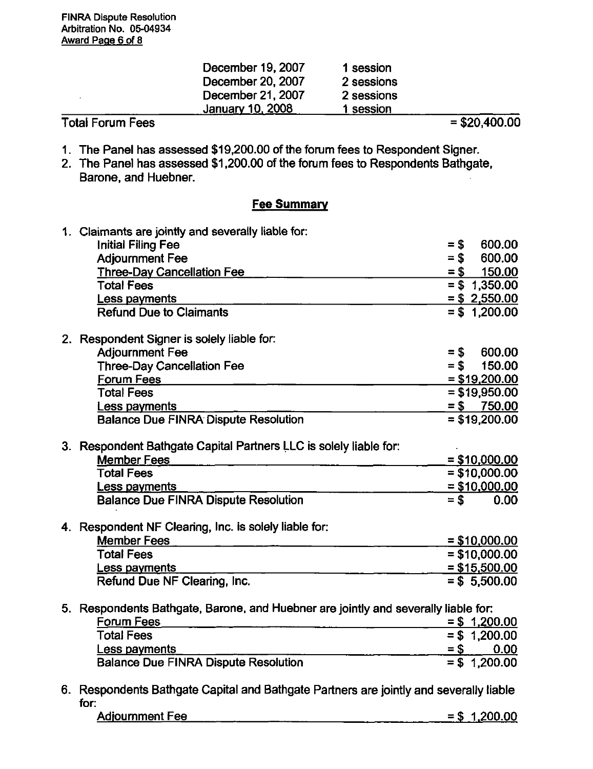| Janua <u>ry 10, 2</u> 008 | l session  |  |
|---------------------------|------------|--|
|                           |            |  |
| December 21, 2007         | 2 sessions |  |
| December 20, 2007         | 2 sessions |  |
| December 19, 2007         | 1 session  |  |

- 1. The Panel has assessed \$19,200.00 of the forum fees to Respondent Signer.
- 2. The Panel has assessed \$1,200.00 of the fomm fees to Respondents Bathgate, Barone, and Huebner.

#### **Fee Summary**

| 1. Claimants are jointly and severally liable for:                                 |        |        |        |                 |                 |
|------------------------------------------------------------------------------------|--------|--------|--------|-----------------|-----------------|
| <b>Initial Filing Fee</b>                                                          | $=$ \$ |        |        | 600.00          |                 |
| <b>Adjournment Fee</b>                                                             |        | $=$ \$ |        | 600.00          |                 |
| <b>Three-Day Cancellation Fee</b>                                                  |        | $=$ \$ |        |                 | 150.00          |
| <b>Total Fees</b>                                                                  |        |        |        | $= $ 1,350.00$  |                 |
| Less payments                                                                      |        |        |        |                 | $= $2,550.00$   |
| <b>Refund Due to Claimants</b>                                                     |        |        |        |                 | $= $ 1,200.00$  |
| 2. Respondent Signer is solely liable for:                                         |        |        |        |                 |                 |
| <b>Adjournment Fee</b>                                                             |        | $=$ \$ |        | 600.00          |                 |
| <b>Three-Day Cancellation Fee</b>                                                  |        |        |        |                 | $= $ 150.00$    |
| <b>Forum Fees</b>                                                                  |        |        |        |                 | $=$ \$19,200.00 |
| <b>Total Fees</b>                                                                  |        |        |        |                 | $= $19,950.00$  |
| Less payments                                                                      |        |        |        | $= $$ 750.00    |                 |
| <b>Balance Due FINRA Dispute Resolution</b>                                        |        |        |        | $= $19,200.00$  |                 |
| 3. Respondent Bathgate Capital Partners LLC is solely liable for:                  |        |        |        |                 |                 |
| <b>Member Fees</b>                                                                 |        |        |        | $= $10,000.00$  |                 |
| <b>Total Fees</b>                                                                  |        |        |        |                 | $= $10,000.00$  |
| Less payments                                                                      |        |        |        |                 | $=$ \$10,000.00 |
| <b>Balance Due FINRA Dispute Resolution</b>                                        | $=$ \$ |        |        |                 | 0.00            |
| 4. Respondent NF Clearing, Inc. is solely liable for:                              |        |        |        |                 |                 |
| <b>Member Fees</b>                                                                 |        |        |        | $= $10,000.00$  |                 |
| <b>Total Fees</b>                                                                  |        |        |        |                 | $= $10,000.00$  |
| <b>Less payments</b>                                                               |        |        |        |                 | $=$ \$15,500.00 |
| Refund Due NF Clearing, Inc.                                                       |        |        |        | $= $5,500.00$   |                 |
| 5. Respondents Bathgate, Barone, and Huebner are jointly and severally liable for: |        |        |        |                 |                 |
| <b>Forum Fees</b>                                                                  |        |        |        | $=$ \$ 1,200.00 |                 |
| <b>Total Fees</b>                                                                  |        |        |        |                 | $= $ 1,200.00$  |
| Less payments                                                                      |        |        | $=$ \$ |                 | 0.00            |
|                                                                                    |        |        |        |                 |                 |

6. Respondents Bathgate Capital and Bathgate Partners are jointly and severally liable for:

| <b>Adjournment Fee</b><br>$=$ \$<br><br>--- | 1,200.00 |
|---------------------------------------------|----------|
|---------------------------------------------|----------|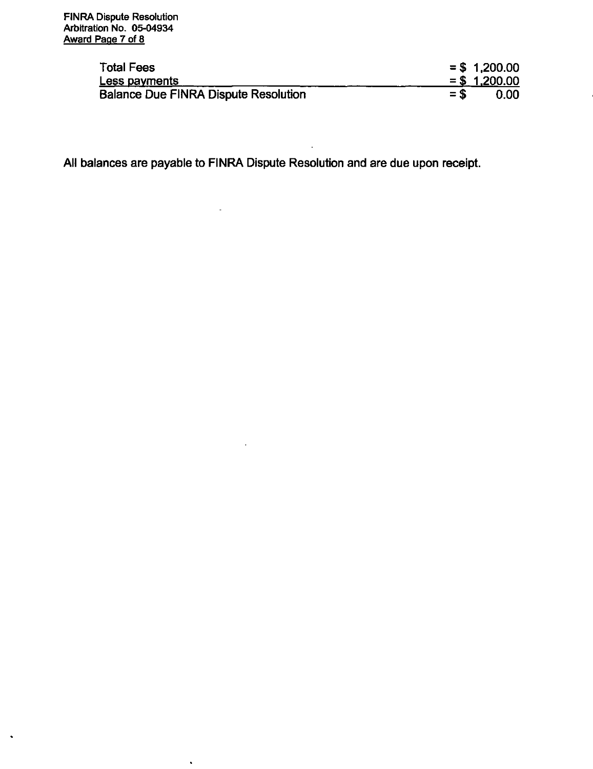$\hat{\phantom{a}}$ 

| <b>Total Fees</b>                           |       | $= $1,200.00$     |
|---------------------------------------------|-------|-------------------|
| Less payments                               |       | $= $ 1,200.00$    |
| <b>Balance Due FINRA Dispute Resolution</b> | $=$ S | 0.00 <sub>1</sub> |

i.

All balances are payable to FINRA Dispute Resolution and are due upon receipt.

 $\mathbb{Z}^2$ 

 $\sim 10^{-11}$ 

 $\ddot{\phantom{a}}$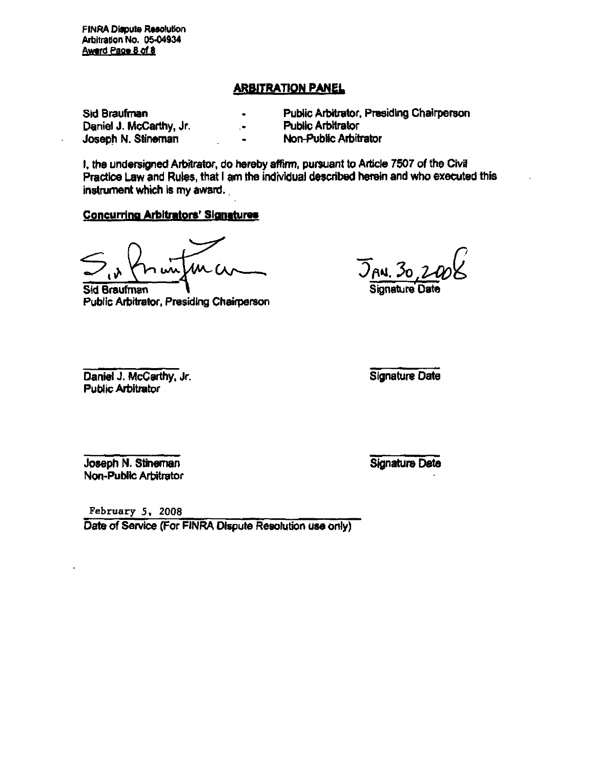FINRA Dispute Resolution Arbitration No. 05-04934 Award Page 8 of 8

#### ARBITRATION PANEL

Sid Braufrnan Daniel J. McCarthy, Jr. Joseph N. Stineman

Public Arbitrator, Presiding Chairperson

Public Arbitrator

Non-Public Arbitrator  $\bullet$ 

 $\bullet$  $\bullet$ 

I, the undersigned Arbitrator, do hereby affirm, pursuant to Article 7507 of the Civil Practice Law and Rules, that I am the individual described herein and who executed this instrument which is my award.

#### Concurring Arbitrators' Signatures

1M (

Sid Braufrnan Public Arbitrator, Presiding Chairperson

AN. 30

Signature Date

Daniel J. McCarthy, Jr. Public Arbitrator

Signature Date

Joseph N. Stineman Non-Public Arbitrator

Signature Date

February 5, 2008

Date of Service (For FINRA Dispute Resolution use only)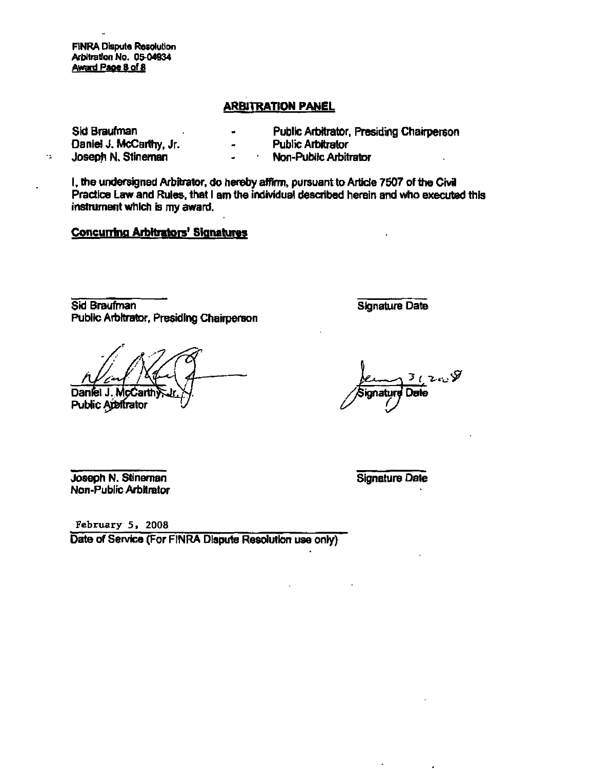FINRA Dispute Resolution Arbitration No. 05-04934 Award Page 8 of 8

 $\gamma$ 

#### ARBITRATION PANEL

| Sid Braufman            |                          | Public Arbitrator, Presiding Chairperson |
|-------------------------|--------------------------|------------------------------------------|
| Daniel J. McCarthy, Jr. | $\overline{\phantom{0}}$ | <b>Public Arbitrator</b>                 |
| Joseph N. Stineman      |                          | Non-Public Arbitrator                    |

I. the undersigned Arbitrator, do hereby affirm, pursuant to Artide 7507 of the Civil Practice Law and Rules, that I am the individual described herein and who executed this instrument which is my award.

#### Concuning Arbitrators' Signatures

Sid Braufrnan Public Arbitrator, Presiding Chairperson

Daniel J

M Public Aj Signature Date

 $\mathscr{G}_{\omega}$ mature Date

Joseph N. Stineman Non-Public Arbitrator

Signature Dale

February 5, 2008

Date of Service (For FINRA Dispute Resolution use only)